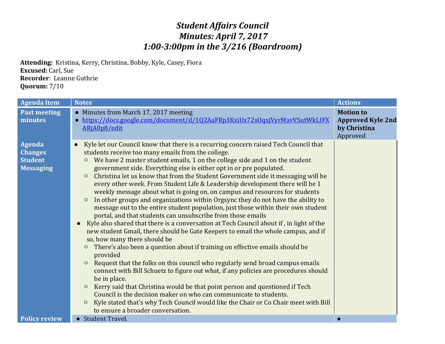## *Student Affairs Council Minutes: April 7, 2017 1:00-3:00pm in the 3/216 (Boardroom)*

**Attending:** Kristina, Kerry, Christina, Bobby, Kyle, Casey, Fiora **Excused:** Carl, Sue **Recorder**: Leanne Guthrie **Quorum:** 7/10

| <b>Agenda Item</b>                                             | <b>Notes</b>                                                                                                                                                                                                                                                                                                                                                                                                                                                                                                                                                                                                                                                                                                                                                                                                                                                                                                                                                                                                                                                                                                                                                                                                                                                                                                                                                                                                                                                                                                                                                                                                                                                              | <b>Actions</b>                                                           |
|----------------------------------------------------------------|---------------------------------------------------------------------------------------------------------------------------------------------------------------------------------------------------------------------------------------------------------------------------------------------------------------------------------------------------------------------------------------------------------------------------------------------------------------------------------------------------------------------------------------------------------------------------------------------------------------------------------------------------------------------------------------------------------------------------------------------------------------------------------------------------------------------------------------------------------------------------------------------------------------------------------------------------------------------------------------------------------------------------------------------------------------------------------------------------------------------------------------------------------------------------------------------------------------------------------------------------------------------------------------------------------------------------------------------------------------------------------------------------------------------------------------------------------------------------------------------------------------------------------------------------------------------------------------------------------------------------------------------------------------------------|--------------------------------------------------------------------------|
| <b>Past meeting</b><br>minutes                                 | • Minutes from March 17, 2017 meeting<br>https://docs.google.com/document/d/1Q2AaFRp3KxiUx72sOqxjVyrMavVSutWkLIFX<br>ARjA0p8/edit                                                                                                                                                                                                                                                                                                                                                                                                                                                                                                                                                                                                                                                                                                                                                                                                                                                                                                                                                                                                                                                                                                                                                                                                                                                                                                                                                                                                                                                                                                                                         | <b>Motion to</b><br><b>Approved Kyle 2nd</b><br>by Christina<br>Approved |
| Agenda<br><b>Changes</b><br><b>Student</b><br><b>Messaging</b> | Kyle let our Council know that there is a recurring concern raised Tech Council that<br>$\bullet$<br>students receive too many emails from the college.<br>We have 2 master student emails, 1 on the college side and 1 on the student<br>$\circ$<br>government side. Everything else is either opt in or pre populated.<br>Christina let us know that from the Student Government side it messaging will be<br>$\circ$<br>every other week. From Student Life & Leadership development there will be 1<br>weekly message about what is going on, on campus and resources for students<br>In other groups and organizations within Orgsync they do not have the ability to<br>$\circ$<br>message out to the entire student population, just those within their own student<br>portal, and that students can unsubscribe from those emails<br>Kyle also shared that there is a conversation at Tech Council about if, in light of the<br>new student Gmail, there should be Gate Keepers to email the whole campus, and if<br>so, how many there should be<br>There's also been a question about if training on effective emails should be<br>$\circ$<br>provided<br>Request that the folks on this council who regularly send broad campus emails<br>$\circ$<br>connect with Bill Schuetz to figure out what, if any policies are procedures should<br>be in place.<br>Kerry said that Christina would be that point person and questioned if Tech<br>$\circ$<br>Council is the decision maker on who can communicate to students.<br>Kyle stated that's why Tech Council would like the Chair or Co Chair meet with Bill<br>$\circ$<br>to ensure a broader conversation. |                                                                          |
| <b>Policy review</b>                                           | • Student Travel.                                                                                                                                                                                                                                                                                                                                                                                                                                                                                                                                                                                                                                                                                                                                                                                                                                                                                                                                                                                                                                                                                                                                                                                                                                                                                                                                                                                                                                                                                                                                                                                                                                                         | $\bullet$                                                                |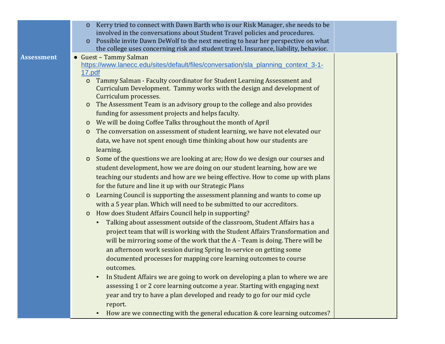|                   | Kerry tried to connect with Dawn Barth who is our Risk Manager, she needs to be<br>$\mathbf{O}$    |  |
|-------------------|----------------------------------------------------------------------------------------------------|--|
|                   | involved in the conversations about Student Travel policies and procedures.                        |  |
|                   | Possible invite Dawn DeWolf to the next meeting to hear her perspective on what<br>$\mathbf{O}$    |  |
|                   | the college uses concerning risk and student travel. Insurance, liability, behavior.               |  |
| <b>Assessment</b> | Guest - Tammy Salman                                                                               |  |
|                   | https://www.lanecc.edu/sites/default/files/conversation/sla_planning_context_3-1-<br><u>17.pdf</u> |  |
|                   | o Tammy Salman - Faculty coordinator for Student Learning Assessment and                           |  |
|                   | Curriculum Development. Tammy works with the design and development of                             |  |
|                   | Curriculum processes.                                                                              |  |
|                   | The Assessment Team is an advisory group to the college and also provides<br>$\mathbf{O}$          |  |
|                   | funding for assessment projects and helps faculty.                                                 |  |
|                   | We will be doing Coffee Talks throughout the month of April<br>$\mathbf{O}$                        |  |
|                   | The conversation on assessment of student learning, we have not elevated our<br>$\mathbf O$        |  |
|                   | data, we have not spent enough time thinking about how our students are                            |  |
|                   | learning.                                                                                          |  |
|                   | Some of the questions we are looking at are; How do we design our courses and<br>$\mathsf O$       |  |
|                   | student development, how we are doing on our student learning, how are we                          |  |
|                   | teaching our students and how are we being effective. How to come up with plans                    |  |
|                   | for the future and line it up with our Strategic Plans                                             |  |
|                   | Learning Council is supporting the assessment planning and wants to come up<br>$\mathsf O$         |  |
|                   | with a 5 year plan. Which will need to be submitted to our accreditors.                            |  |
|                   | How does Student Affairs Council help in supporting?<br>$\mathsf{o}$                               |  |
|                   | Talking about assessment outside of the classroom, Student Affairs has a<br>$\blacksquare$         |  |
|                   | project team that will is working with the Student Affairs Transformation and                      |  |
|                   | will be mirroring some of the work that the A - Team is doing. There will be                       |  |
|                   | an afternoon work session during Spring In-service on getting some                                 |  |
|                   | documented processes for mapping core learning outcomes to course                                  |  |
|                   | outcomes.                                                                                          |  |
|                   | In Student Affairs we are going to work on developing a plan to where we are                       |  |
|                   | assessing 1 or 2 core learning outcome a year. Starting with engaging next                         |  |
|                   | year and try to have a plan developed and ready to go for our mid cycle                            |  |
|                   | report.                                                                                            |  |
|                   | How are we connecting with the general education & core learning outcomes?                         |  |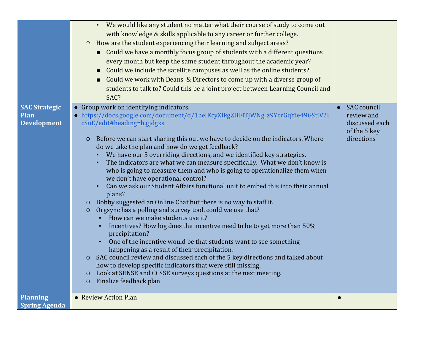|                                                    | We would like any student no matter what their course of study to come out<br>with knowledge & skills applicable to any career or further college.<br>How are the student experiencing their learning and subject areas?<br>$\circ$<br>• Could we have a monthly focus group of students with a different questions<br>every month but keep the same student throughout the academic year?<br>Could we include the satellite campuses as well as the online students?<br>Could we work with Deans & Directors to come up with a diverse group of<br>$\blacksquare$<br>students to talk to? Could this be a joint project between Learning Council and<br>SAC?                                                                                                                                                                                                                                                                                                                                                                                                                                                                                                                                                                                                                                                                                                                                                                                                 |                                                                                  |
|----------------------------------------------------|---------------------------------------------------------------------------------------------------------------------------------------------------------------------------------------------------------------------------------------------------------------------------------------------------------------------------------------------------------------------------------------------------------------------------------------------------------------------------------------------------------------------------------------------------------------------------------------------------------------------------------------------------------------------------------------------------------------------------------------------------------------------------------------------------------------------------------------------------------------------------------------------------------------------------------------------------------------------------------------------------------------------------------------------------------------------------------------------------------------------------------------------------------------------------------------------------------------------------------------------------------------------------------------------------------------------------------------------------------------------------------------------------------------------------------------------------------------|----------------------------------------------------------------------------------|
| <b>SAC Strategic</b><br>Plan<br><b>Development</b> | Group work on identifying indicators.<br>https://docs.google.com/document/d/1helKcyXIkgZHFlTJWNg_z9YcrGqYie49GStiV2I<br>cSuE/edit#heading=h.gjdgxs<br>Before we can start sharing this out we have to decide on the indicators. Where<br>$\overline{O}$<br>do we take the plan and how do we get feedback?<br>We have our 5 overriding directions, and we identified key strategies.<br>The indicators are what we can measure specifically. What we don't know is<br>who is going to measure them and who is going to operationalize them when<br>we don't have operational control?<br>Can we ask our Student Affairs functional unit to embed this into their annual<br>plans?<br>Bobby suggested an Online Chat but there is no way to staff it.<br>$\mathbf{O}$<br>Orgsync has a polling and survey tool, could we use that?<br>$\mathbf O$<br>How can we make students use it?<br>$\blacksquare$<br>Incentives? How big does the incentive need to be to get more than 50%<br>$\blacksquare$<br>precipitation?<br>One of the incentive would be that students want to see something<br>$\blacksquare$<br>happening as a result of their precipitation.<br>SAC council review and discussed each of the 5 key directions and talked about<br>$\mathsf{O}$<br>how to develop specific indicators that were still missing.<br>Look at SENSE and CCSSE surveys questions at the next meeting.<br>$\overline{O}$<br>Finalize feedback plan<br>$\overline{O}$ | <b>SAC</b> council<br>review and<br>discussed each<br>of the 5 key<br>directions |
| <b>Planning</b><br><b>Spring Agenda</b>            | • Review Action Plan                                                                                                                                                                                                                                                                                                                                                                                                                                                                                                                                                                                                                                                                                                                                                                                                                                                                                                                                                                                                                                                                                                                                                                                                                                                                                                                                                                                                                                          |                                                                                  |